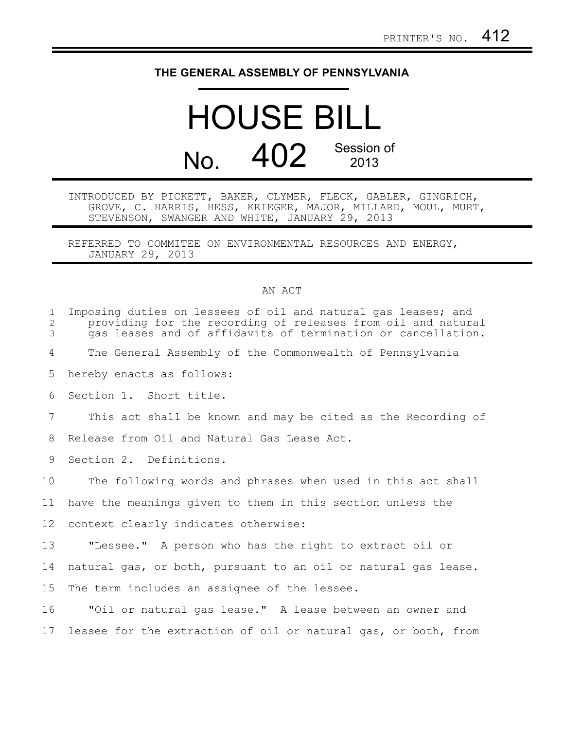## **THE GENERAL ASSEMBLY OF PENNSYLVANIA**

## HOUSE BILL No. 402 Session of 2013

INTRODUCED BY PICKETT, BAKER, CLYMER, FLECK, GABLER, GINGRICH, GROVE, C. HARRIS, HESS, KRIEGER, MAJOR, MILLARD, MOUL, MURT, STEVENSON, SWANGER AND WHITE, JANUARY 29, 2013

REFERRED TO COMMITEE ON ENVIRONMENTAL RESOURCES AND ENERGY, JANUARY 29, 2013

## AN ACT

| $\mathbf{1}$<br>$\overline{2}$<br>3 | Imposing duties on lessees of oil and natural gas leases; and<br>providing for the recording of releases from oil and natural<br>gas leases and of affidavits of termination or cancellation. |
|-------------------------------------|-----------------------------------------------------------------------------------------------------------------------------------------------------------------------------------------------|
| 4                                   | The General Assembly of the Commonwealth of Pennsylvania                                                                                                                                      |
| 5                                   | hereby enacts as follows:                                                                                                                                                                     |
| 6                                   | Section 1. Short title.                                                                                                                                                                       |
| $7\phantom{.0}$                     | This act shall be known and may be cited as the Recording of                                                                                                                                  |
| 8                                   | Release from Oil and Natural Gas Lease Act.                                                                                                                                                   |
| 9                                   | Section 2. Definitions.                                                                                                                                                                       |
| 10                                  | The following words and phrases when used in this act shall                                                                                                                                   |
| 11                                  | have the meanings given to them in this section unless the                                                                                                                                    |
| 12 <sup>°</sup>                     | context clearly indicates otherwise:                                                                                                                                                          |
| 13                                  | "Lessee." A person who has the right to extract oil or                                                                                                                                        |
| 14                                  | natural gas, or both, pursuant to an oil or natural gas lease.                                                                                                                                |
| 15                                  | The term includes an assignee of the lessee.                                                                                                                                                  |
| 16                                  | "Oil or natural gas lease." A lease between an owner and                                                                                                                                      |
| 17                                  | lessee for the extraction of oil or natural gas, or both, from                                                                                                                                |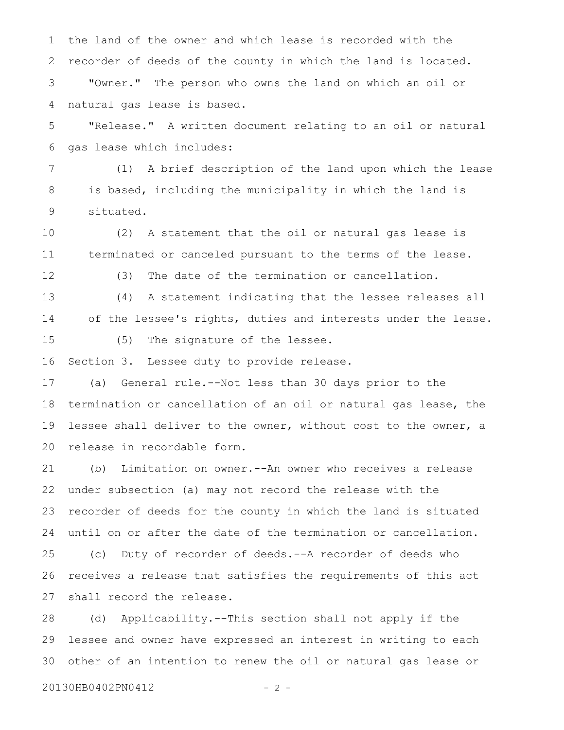the land of the owner and which lease is recorded with the recorder of deeds of the county in which the land is located. "Owner." The person who owns the land on which an oil or natural gas lease is based. 1 2 3 4

"Release." A written document relating to an oil or natural gas lease which includes: 5 6

(1) A brief description of the land upon which the lease is based, including the municipality in which the land is situated. 7 8 9

(2) A statement that the oil or natural gas lease is terminated or canceled pursuant to the terms of the lease. 10 11

12

(3) The date of the termination or cancellation.

(4) A statement indicating that the lessee releases all of the lessee's rights, duties and interests under the lease. 13 14

15

(5) The signature of the lessee.

Section 3. Lessee duty to provide release. 16

(a) General rule.--Not less than 30 days prior to the termination or cancellation of an oil or natural gas lease, the lessee shall deliver to the owner, without cost to the owner, a release in recordable form. 17 18 19 20

(b) Limitation on owner.--An owner who receives a release under subsection (a) may not record the release with the recorder of deeds for the county in which the land is situated until on or after the date of the termination or cancellation. (c) Duty of recorder of deeds.--A recorder of deeds who receives a release that satisfies the requirements of this act shall record the release. 21 22 23 24 25 26 27

(d) Applicability.--This section shall not apply if the lessee and owner have expressed an interest in writing to each other of an intention to renew the oil or natural gas lease or 28 29 30

20130HB0402PN0412 - 2 -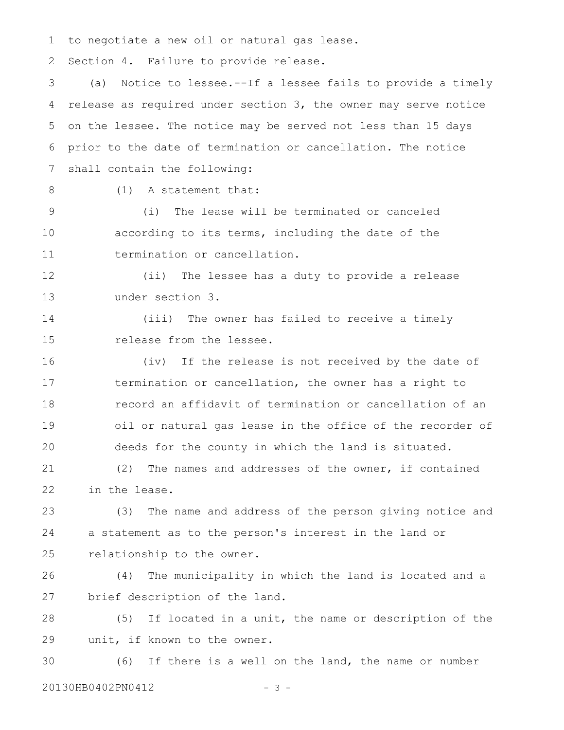to negotiate a new oil or natural gas lease. 1

Section 4. Failure to provide release. 2

(a) Notice to lessee.--If a lessee fails to provide a timely release as required under section 3, the owner may serve notice on the lessee. The notice may be served not less than 15 days prior to the date of termination or cancellation. The notice shall contain the following: 3 4 5 6 7

8

(1) A statement that:

(i) The lease will be terminated or canceled according to its terms, including the date of the termination or cancellation. 9 10 11

(ii) The lessee has a duty to provide a release under section 3. 12 13

(iii) The owner has failed to receive a timely release from the lessee. 14 15

(iv) If the release is not received by the date of termination or cancellation, the owner has a right to record an affidavit of termination or cancellation of an oil or natural gas lease in the office of the recorder of deeds for the county in which the land is situated. 16 17 18 19 20

(2) The names and addresses of the owner, if contained in the lease. 21 22

(3) The name and address of the person giving notice and a statement as to the person's interest in the land or relationship to the owner. 23 24 25

(4) The municipality in which the land is located and a brief description of the land. 26 27

(5) If located in a unit, the name or description of the unit, if known to the owner. 28 29

(6) If there is a well on the land, the name or number 20130HB0402PN0412 - 3 -30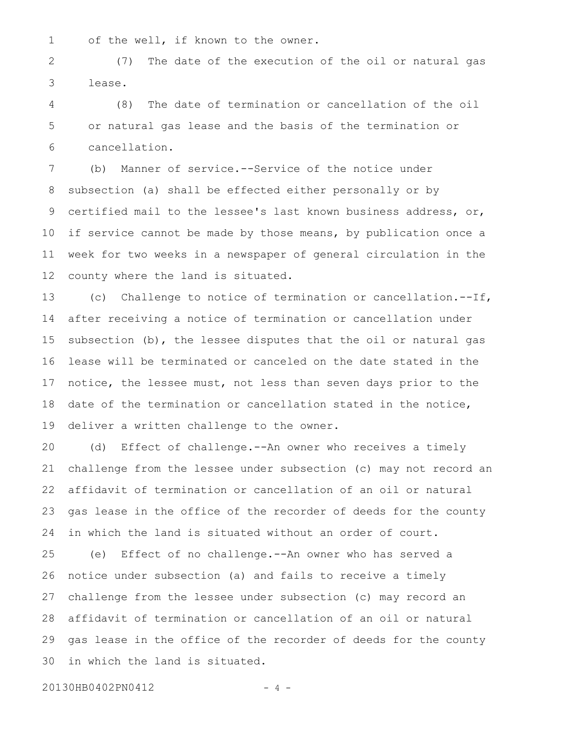1

of the well, if known to the owner.

(7) The date of the execution of the oil or natural gas lease. 2 3

(8) The date of termination or cancellation of the oil or natural gas lease and the basis of the termination or cancellation. 4 5 6

(b) Manner of service.--Service of the notice under subsection (a) shall be effected either personally or by certified mail to the lessee's last known business address, or, if service cannot be made by those means, by publication once a week for two weeks in a newspaper of general circulation in the county where the land is situated. 7 8 9 10 11 12

(c) Challenge to notice of termination or cancellation.--If, after receiving a notice of termination or cancellation under subsection (b), the lessee disputes that the oil or natural gas lease will be terminated or canceled on the date stated in the notice, the lessee must, not less than seven days prior to the date of the termination or cancellation stated in the notice, deliver a written challenge to the owner. 13 14 15 16 17 18 19

(d) Effect of challenge.--An owner who receives a timely challenge from the lessee under subsection (c) may not record an affidavit of termination or cancellation of an oil or natural gas lease in the office of the recorder of deeds for the county in which the land is situated without an order of court. 20 21 22 23 24

(e) Effect of no challenge.--An owner who has served a notice under subsection (a) and fails to receive a timely challenge from the lessee under subsection (c) may record an affidavit of termination or cancellation of an oil or natural gas lease in the office of the recorder of deeds for the county in which the land is situated. 25 26 27 28 29 30

20130HB0402PN0412 - 4 -